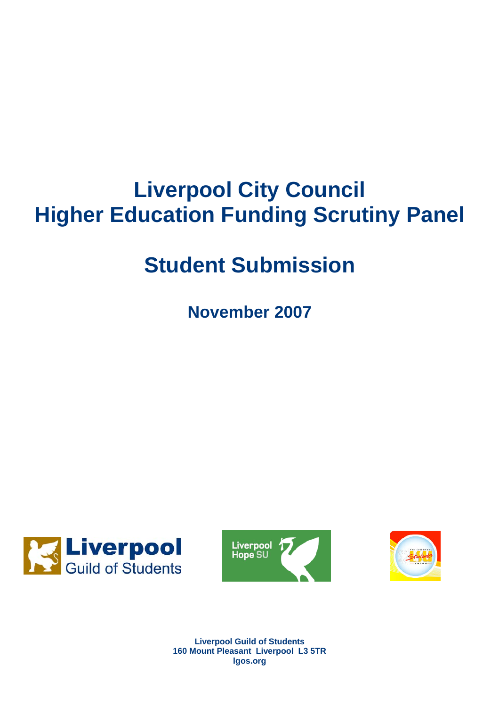# **Liverpool City Council Higher Education Funding Scrutiny Panel**

# **Student Submission**

**November 2007** 







**Liverpool Guild of Students 160 Mount Pleasant Liverpool L3 5TR lgos.org**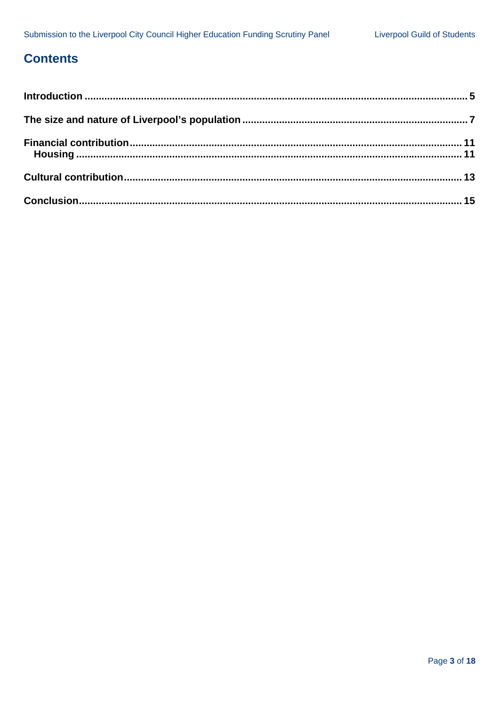# **Contents**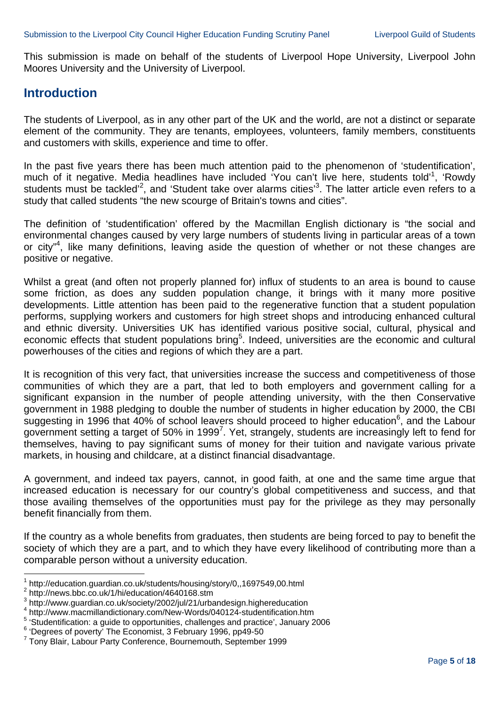This submission is made on behalf of the students of Liverpool Hope University, Liverpool John Moores University and the University of Liverpool.

#### **Introduction**

The students of Liverpool, as in any other part of the UK and the world, are not a distinct or separate element of the community. They are tenants, employees, volunteers, family members, constituents and customers with skills, experience and time to offer.

In the past five years there has been much attention paid to the phenomenon of 'studentification', much of it negative. Media headlines have included 'You can't live here, students told'<sup>1</sup>, 'Rowdy students must be tackled<sup>2</sup>, and 'Student take over alarms cities<sup>3</sup>. The latter article even refers to a study that called students "the new scourge of Britain's towns and cities".

The definition of 'studentification' offered by the Macmillan English dictionary is "the social and environmental changes caused by very large numbers of students living in particular areas of a town or city<sup>"4</sup>, like many definitions, leaving aside the question of whether or not these changes are positive or negative.

Whilst a great (and often not properly planned for) influx of students to an area is bound to cause some friction, as does any sudden population change, it brings with it many more positive developments. Little attention has been paid to the regenerative function that a student population performs, supplying workers and customers for high street shops and introducing enhanced cultural and ethnic diversity. Universities UK has identified various positive social, cultural, physical and economic effects that student populations bring<sup>5</sup>. Indeed, universities are the economic and cultural powerhouses of the cities and regions of which they are a part.

It is recognition of this very fact, that universities increase the success and competitiveness of those communities of which they are a part, that led to both employers and government calling for a significant expansion in the number of people attending university, with the then Conservative government in 1988 pledging to double the number of students in higher education by 2000, the CBI suggesting in 1996 that  $40\%$  of school leavers should proceed to higher education<sup>6</sup>, and the Labour government setting a target of 50% in 1999<sup>7</sup>. Yet, strangely, students are increasingly left to fend for themselves, having to pay significant sums of money for their tuition and navigate various private markets, in housing and childcare, at a distinct financial disadvantage.

A government, and indeed tax payers, cannot, in good faith, at one and the same time argue that increased education is necessary for our country's global competitiveness and success, and that those availing themselves of the opportunities must pay for the privilege as they may personally benefit financially from them.

If the country as a whole benefits from graduates, then students are being forced to pay to benefit the society of which they are a part, and to which they have every likelihood of contributing more than a comparable person without a university education.

l <sup>1</sup> http://education.guardian.co.uk/students/housing/story/0,,1697549,00.html<br><sup>2</sup> http://powe.bbe.co.uk/1/bi/education/4640168.otm

<sup>&</sup>lt;sup>2</sup> http://news.bbc.co.uk/1/hi/education/4640168.stm

 $^3$  http://www.guardian.co.uk/society/2002/jul/21/urbandesign.highereducation<br>4 http://www.gnarojilondictionery.com/Now Worde/040134 etudentification htm

http://www.macmillandictionary.com/New-Words/040124-studentification.htm

 $^5$  'Studentification: a guide to opportunities, challenges and practice', January 2006

<sup>&</sup>lt;sup>6</sup> 'Degrees of poverty' The Economist, 3 February 1996, pp49-50

<sup>7</sup> Tony Blair, Labour Party Conference, Bournemouth, September 1999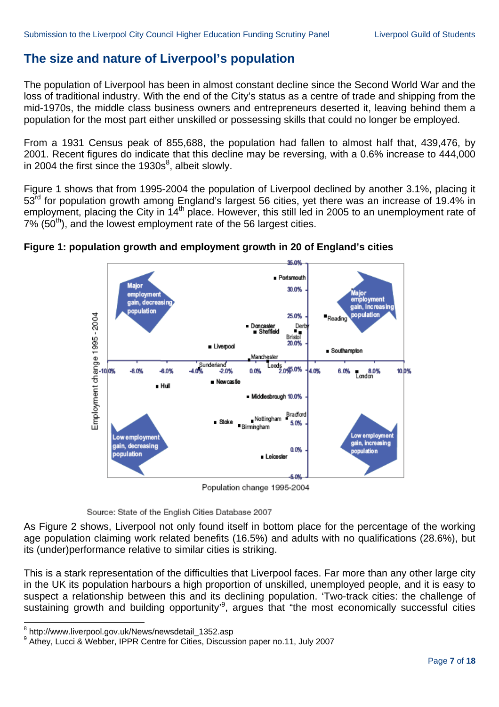## **The size and nature of Liverpool's population**

The population of Liverpool has been in almost constant decline since the Second World War and the loss of traditional industry. With the end of the City's status as a centre of trade and shipping from the mid-1970s, the middle class business owners and entrepreneurs deserted it, leaving behind them a population for the most part either unskilled or possessing skills that could no longer be employed.

From a 1931 Census peak of 855,688, the population had fallen to almost half that, 439,476, by 2001. Recent figures do indicate that this decline may be reversing, with a 0.6% increase to 444,000 in 2004 the first since the  $1930s<sup>8</sup>$ , albeit slowly.

Figure 1 shows that from 1995-2004 the population of Liverpool declined by another 3.1%, placing it 53<sup>rd</sup> for population growth among England's largest 56 cities, yet there was an increase of 19.4% in employment, placing the City in 14<sup>th</sup> place. However, this still led in 2005 to an unemployment rate of  $7\%$  (50<sup>th</sup>), and the lowest employment rate of the 56 largest cities.



#### **Figure 1: population growth and employment growth in 20 of England's cities**

Population change 1995-2004

Source: State of the English Cities Database 2007

As Figure 2 shows, Liverpool not only found itself in bottom place for the percentage of the working age population claiming work related benefits (16.5%) and adults with no qualifications (28.6%), but its (under)performance relative to similar cities is striking.

This is a stark representation of the difficulties that Liverpool faces. Far more than any other large city in the UK its population harbours a high proportion of unskilled, unemployed people, and it is easy to suspect a relationship between this and its declining population. 'Two-track cities: the challenge of sustaining growth and building opportunity<sup>,9</sup>, argues that "the most economically successful cities

 8 http://www.liverpool.gov.uk/News/newsdetail\_1352.asp

<sup>9</sup> Athey, Lucci & Webber, IPPR Centre for Cities, Discussion paper no.11, July 2007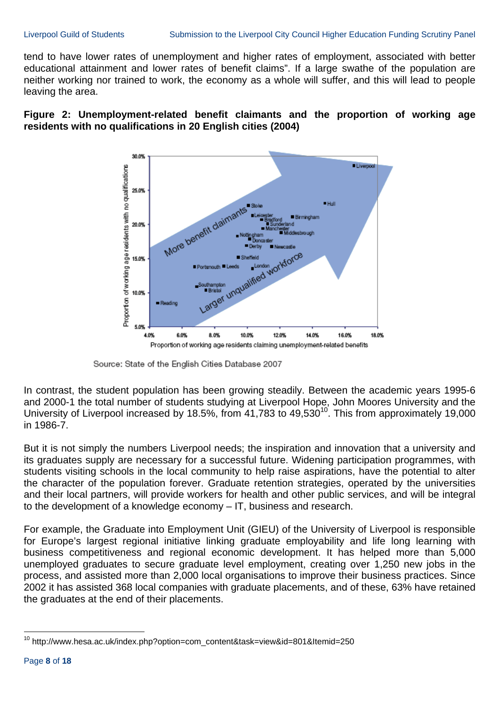tend to have lower rates of unemployment and higher rates of employment, associated with better educational attainment and lower rates of benefit claims". If a large swathe of the population are neither working nor trained to work, the economy as a whole will suffer, and this will lead to people leaving the area.





Source: State of the English Cities Database 2007

In contrast, the student population has been growing steadily. Between the academic years 1995-6 and 2000-1 the total number of students studying at Liverpool Hope, John Moores University and the University of Liverpool increased by 18.5%, from 41,783 to 49,530<sup>10</sup>. This from approximately 19,000 in 1986-7.

But it is not simply the numbers Liverpool needs; the inspiration and innovation that a university and its graduates supply are necessary for a successful future. Widening participation programmes, with students visiting schools in the local community to help raise aspirations, have the potential to alter the character of the population forever. Graduate retention strategies, operated by the universities and their local partners, will provide workers for health and other public services, and will be integral to the development of a knowledge economy – IT, business and research.

For example, the Graduate into Employment Unit (GIEU) of the University of Liverpool is responsible for Europe's largest regional initiative linking graduate employability and life long learning with business competitiveness and regional economic development. It has helped more than 5,000 unemployed graduates to secure graduate level employment, creating over 1,250 new jobs in the process, and assisted more than 2,000 local organisations to improve their business practices. Since 2002 it has assisted 368 local companies with graduate placements, and of these, 63% have retained the graduates at the end of their placements.

l

<sup>&</sup>lt;sup>10</sup> http://www.hesa.ac.uk/index.php?option=com\_content&task=view&id=801&Itemid=250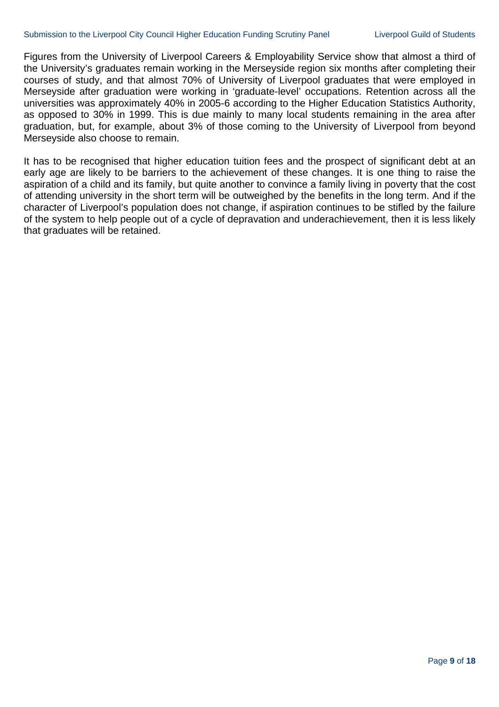Figures from the University of Liverpool Careers & Employability Service show that almost a third of the University's graduates remain working in the Merseyside region six months after completing their courses of study, and that almost 70% of University of Liverpool graduates that were employed in Merseyside after graduation were working in 'graduate-level' occupations. Retention across all the universities was approximately 40% in 2005-6 according to the Higher Education Statistics Authority, as opposed to 30% in 1999. This is due mainly to many local students remaining in the area after graduation, but, for example, about 3% of those coming to the University of Liverpool from beyond Merseyside also choose to remain.

It has to be recognised that higher education tuition fees and the prospect of significant debt at an early age are likely to be barriers to the achievement of these changes. It is one thing to raise the aspiration of a child and its family, but quite another to convince a family living in poverty that the cost of attending university in the short term will be outweighed by the benefits in the long term. And if the character of Liverpool's population does not change, if aspiration continues to be stifled by the failure of the system to help people out of a cycle of depravation and underachievement, then it is less likely that graduates will be retained.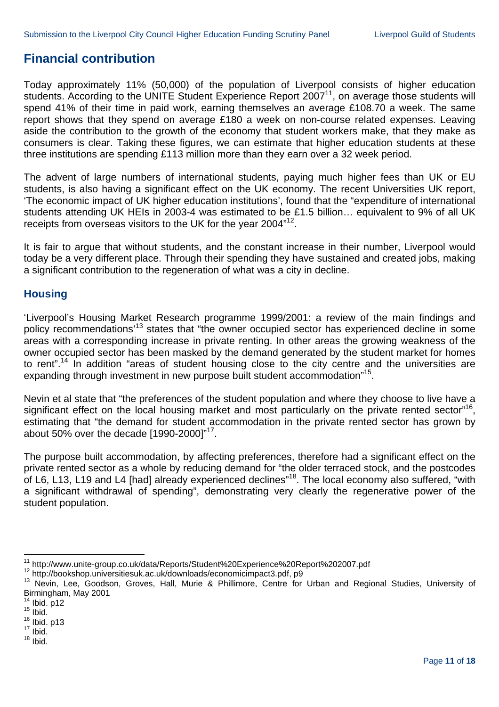## **Financial contribution**

Today approximately 11% (50,000) of the population of Liverpool consists of higher education students. According to the UNITE Student Experience Report  $2007<sup>11</sup>$ , on average those students will spend 41% of their time in paid work, earning themselves an average £108.70 a week. The same report shows that they spend on average £180 a week on non-course related expenses. Leaving aside the contribution to the growth of the economy that student workers make, that they make as consumers is clear. Taking these figures, we can estimate that higher education students at these three institutions are spending £113 million more than they earn over a 32 week period.

The advent of large numbers of international students, paying much higher fees than UK or EU students, is also having a significant effect on the UK economy. The recent Universities UK report, 'The economic impact of UK higher education institutions', found that the "expenditure of international students attending UK HEIs in 2003-4 was estimated to be £1.5 billion… equivalent to 9% of all UK receipts from overseas visitors to the UK for the year 2004<sup>"12</sup>.

It is fair to argue that without students, and the constant increase in their number, Liverpool would today be a very different place. Through their spending they have sustained and created jobs, making a significant contribution to the regeneration of what was a city in decline.

#### **Housing**

'Liverpool's Housing Market Research programme 1999/2001: a review of the main findings and policy recommendations<sup>13</sup> states that "the owner occupied sector has experienced decline in some areas with a corresponding increase in private renting. In other areas the growing weakness of the owner occupied sector has been masked by the demand generated by the student market for homes to rent".<sup>14</sup> In addition "areas of student housing close to the city centre and the universities are expanding through investment in new purpose built student accommodation<sup>"15</sup>.

Nevin et al state that "the preferences of the student population and where they choose to live have a significant effect on the local housing market and most particularly on the private rented sector<sup>"16</sup>, estimating that "the demand for student accommodation in the private rented sector has grown by about 50% over the decade [1990-2000]"17.

The purpose built accommodation, by affecting preferences, therefore had a significant effect on the private rented sector as a whole by reducing demand for "the older terraced stock, and the postcodes of L6, L13, L19 and L4 [had] already experienced declines"18. The local economy also suffered, "with a significant withdrawal of spending", demonstrating very clearly the regenerative power of the student population.

<sup>&</sup>lt;sup>11</sup> http://www.unite-group.co.uk/data/Reports/Student%20Experience%20Report%202007.pdf

<sup>12</sup> http://bookshop.universitiesuk.ac.uk/downloads/economicimpact3.pdf, p9<br>13 Nevin, Lee, Goodson, Groves, Hall, Murie & Phillimore, Centre for Urban and Regional Studies, University of Birmingham, May 2001

 $14$  Ibid. p12<br> $15$  Ibid.

 $^{16}$  Ibid. p13

 $18$  Ibid.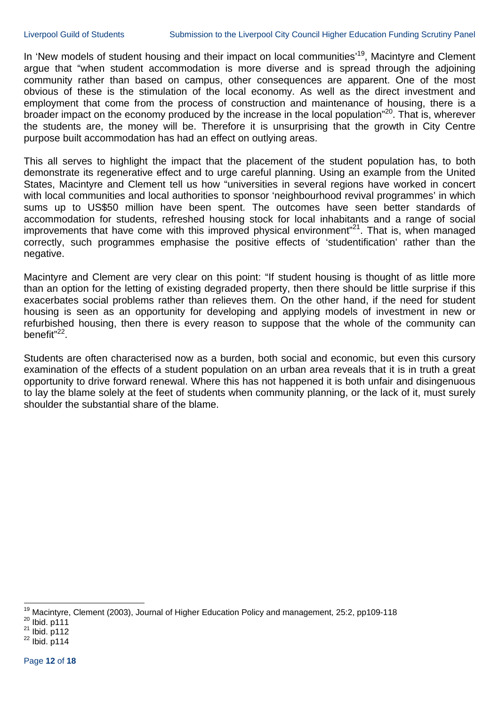In 'New models of student housing and their impact on local communities'<sup>19</sup>, Macintyre and Clement argue that "when student accommodation is more diverse and is spread through the adjoining community rather than based on campus, other consequences are apparent. One of the most obvious of these is the stimulation of the local economy. As well as the direct investment and employment that come from the process of construction and maintenance of housing, there is a broader impact on the economy produced by the increase in the local population"20. That is, wherever the students are, the money will be. Therefore it is unsurprising that the growth in City Centre purpose built accommodation has had an effect on outlying areas.

This all serves to highlight the impact that the placement of the student population has, to both demonstrate its regenerative effect and to urge careful planning. Using an example from the United States, Macintyre and Clement tell us how "universities in several regions have worked in concert with local communities and local authorities to sponsor 'neighbourhood revival programmes' in which sums up to US\$50 million have been spent. The outcomes have seen better standards of accommodation for students, refreshed housing stock for local inhabitants and a range of social improvements that have come with this improved physical environment"<sup>21</sup>. That is, when managed correctly, such programmes emphasise the positive effects of 'studentification' rather than the negative.

Macintyre and Clement are very clear on this point: "If student housing is thought of as little more than an option for the letting of existing degraded property, then there should be little surprise if this exacerbates social problems rather than relieves them. On the other hand, if the need for student housing is seen as an opportunity for developing and applying models of investment in new or refurbished housing, then there is every reason to suppose that the whole of the community can benefit"<sup>22</sup>.

Students are often characterised now as a burden, both social and economic, but even this cursory examination of the effects of a student population on an urban area reveals that it is in truth a great opportunity to drive forward renewal. Where this has not happened it is both unfair and disingenuous to lay the blame solely at the feet of students when community planning, or the lack of it, must surely shoulder the substantial share of the blame.

l <sup>19</sup> Macintyre, Clement (2003), Journal of Higher Education Policy and management, 25:2, pp109-118<br><sup>20</sup> Ibid. p111<br><sup>21</sup> Ibid. p112<br><sup>22</sup> Ibid. p114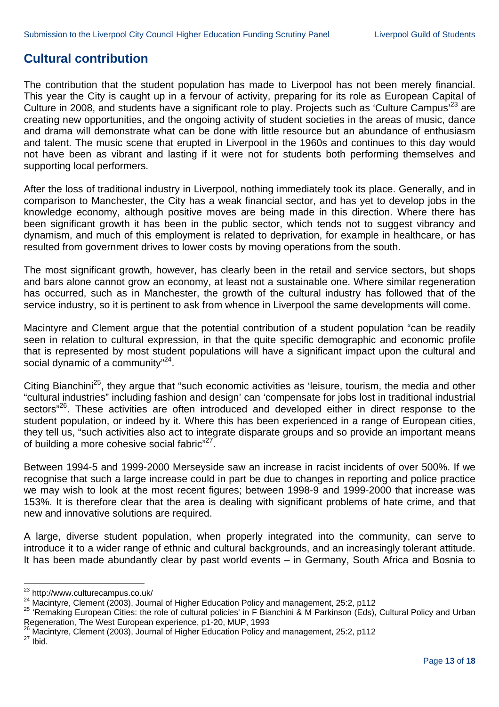### **Cultural contribution**

The contribution that the student population has made to Liverpool has not been merely financial. This year the City is caught up in a fervour of activity, preparing for its role as European Capital of Culture in 2008, and students have a significant role to play. Projects such as 'Culture Campus'<sup>23</sup> are creating new opportunities, and the ongoing activity of student societies in the areas of music, dance and drama will demonstrate what can be done with little resource but an abundance of enthusiasm and talent. The music scene that erupted in Liverpool in the 1960s and continues to this day would not have been as vibrant and lasting if it were not for students both performing themselves and supporting local performers.

After the loss of traditional industry in Liverpool, nothing immediately took its place. Generally, and in comparison to Manchester, the City has a weak financial sector, and has yet to develop jobs in the knowledge economy, although positive moves are being made in this direction. Where there has been significant growth it has been in the public sector, which tends not to suggest vibrancy and dynamism, and much of this employment is related to deprivation, for example in healthcare, or has resulted from government drives to lower costs by moving operations from the south.

The most significant growth, however, has clearly been in the retail and service sectors, but shops and bars alone cannot grow an economy, at least not a sustainable one. Where similar regeneration has occurred, such as in Manchester, the growth of the cultural industry has followed that of the service industry, so it is pertinent to ask from whence in Liverpool the same developments will come.

Macintyre and Clement argue that the potential contribution of a student population "can be readily seen in relation to cultural expression, in that the quite specific demographic and economic profile that is represented by most student populations will have a significant impact upon the cultural and social dynamic of a community<sup>"24</sup>.

Citing Bianchini<sup>25</sup>, they argue that "such economic activities as 'leisure, tourism, the media and other "cultural industries" including fashion and design' can 'compensate for jobs lost in traditional industrial sectors<sup>"26</sup>. These activities are often introduced and developed either in direct response to the student population, or indeed by it. Where this has been experienced in a range of European cities, they tell us, "such activities also act to integrate disparate groups and so provide an important means of building a more cohesive social fabric<sup>"27</sup>.

Between 1994-5 and 1999-2000 Merseyside saw an increase in racist incidents of over 500%. If we recognise that such a large increase could in part be due to changes in reporting and police practice we may wish to look at the most recent figures; between 1998-9 and 1999-2000 that increase was 153%. It is therefore clear that the area is dealing with significant problems of hate crime, and that new and innovative solutions are required.

A large, diverse student population, when properly integrated into the community, can serve to introduce it to a wider range of ethnic and cultural backgrounds, and an increasingly tolerant attitude. It has been made abundantly clear by past world events – in Germany, South Africa and Bosnia to

 $^{23}$  http://www.culturecampus.co.uk/

<sup>24</sup> Macintyre, Clement (2003), Journal of Higher Education Policy and management, 25:2, p112<br>25 'Remaking European Cities: the role of cultural policies' in F Bianchini & M Parkinson (Eds), Cultural Policy and Urban Regeneration, The West European experience, p1-20, MUP, 1993

<sup>26</sup> Macintyre, Clement (2003), Journal of Higher Education Policy and management, 25:2, p112<br><sup>27</sup> Ibid.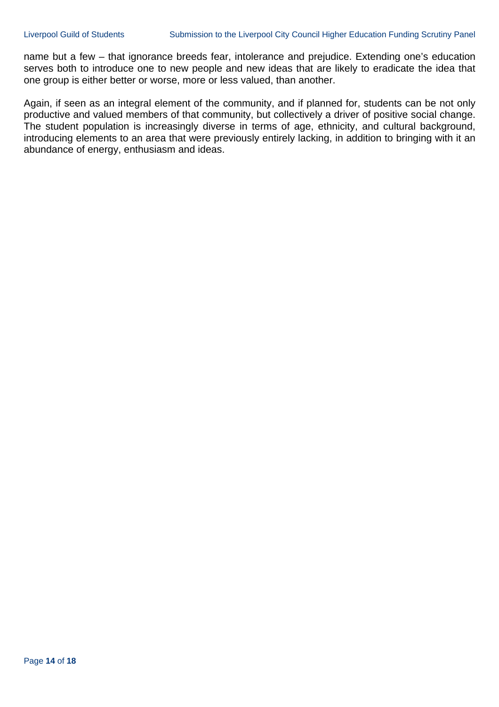name but a few – that ignorance breeds fear, intolerance and prejudice. Extending one's education serves both to introduce one to new people and new ideas that are likely to eradicate the idea that one group is either better or worse, more or less valued, than another.

Again, if seen as an integral element of the community, and if planned for, students can be not only productive and valued members of that community, but collectively a driver of positive social change. The student population is increasingly diverse in terms of age, ethnicity, and cultural background, introducing elements to an area that were previously entirely lacking, in addition to bringing with it an abundance of energy, enthusiasm and ideas.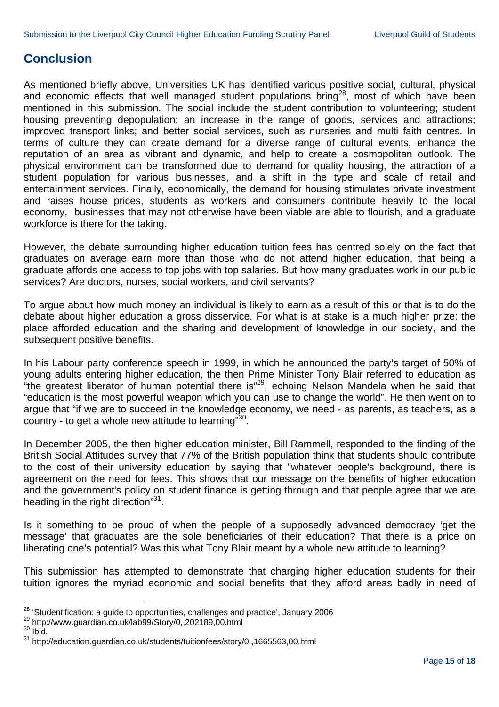#### **Conclusion**

As mentioned briefly above, Universities UK has identified various positive social, cultural, physical and economic effects that well managed student populations bring<sup>28</sup>, most of which have been mentioned in this submission. The social include the student contribution to volunteering; student housing preventing depopulation; an increase in the range of goods, services and attractions; improved transport links; and better social services, such as nurseries and multi faith centres. In terms of culture they can create demand for a diverse range of cultural events, enhance the reputation of an area as vibrant and dynamic, and help to create a cosmopolitan outlook. The physical environment can be transformed due to demand for quality housing, the attraction of a student population for various businesses, and a shift in the type and scale of retail and entertainment services. Finally, economically, the demand for housing stimulates private investment and raises house prices, students as workers and consumers contribute heavily to the local economy, businesses that may not otherwise have been viable are able to flourish, and a graduate workforce is there for the taking.

However, the debate surrounding higher education tuition fees has centred solely on the fact that graduates on average earn more than those who do not attend higher education, that being a graduate affords one access to top jobs with top salaries. But how many graduates work in our public services? Are doctors, nurses, social workers, and civil servants?

To argue about how much money an individual is likely to earn as a result of this or that is to do the debate about higher education a gross disservice. For what is at stake is a much higher prize: the place afforded education and the sharing and development of knowledge in our society, and the subsequent positive benefits.

In his Labour party conference speech in 1999, in which he announced the party's target of 50% of young adults entering higher education, the then Prime Minister Tony Blair referred to education as "the greatest liberator of human potential there is"29, echoing Nelson Mandela when he said that "education is the most powerful weapon which you can use to change the world". He then went on to argue that "if we are to succeed in the knowledge economy, we need - as parents, as teachers, as a country - to get a whole new attitude to learning<sup>"30</sup>.

In December 2005, the then higher education minister, Bill Rammell, responded to the finding of the British Social Attitudes survey that 77% of the British population think that students should contribute to the cost of their university education by saying that "whatever people's background, there is agreement on the need for fees. This shows that our message on the benefits of higher education and the government's policy on student finance is getting through and that people agree that we are heading in the right direction"31.

Is it something to be proud of when the people of a supposedly advanced democracy 'get the message' that graduates are the sole beneficiaries of their education? That there is a price on liberating one's potential? Was this what Tony Blair meant by a whole new attitude to learning?

This submission has attempted to demonstrate that charging higher education students for their tuition ignores the myriad economic and social benefits that they afford areas badly in need of

l

<sup>&</sup>lt;sup>28</sup> 'Studentification: a guide to opportunities, challenges and practice', January 2006<br><sup>29</sup> http://www.guardian.co.uk/lab99/Story/0,,202189,00.html<br><sup>30</sup> Ibid.

<sup>30</sup> lbid.<br>31 http://education.guardian.co.uk/students/tuitionfees/story/0,,1665563,00.html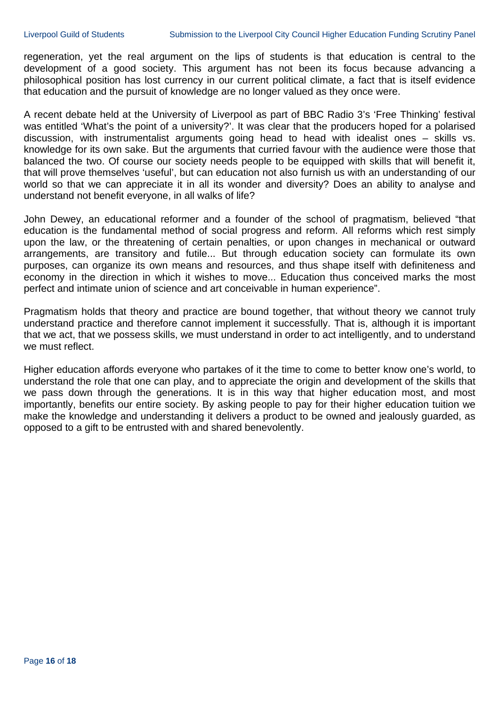regeneration, yet the real argument on the lips of students is that education is central to the development of a good society. This argument has not been its focus because advancing a philosophical position has lost currency in our current political climate, a fact that is itself evidence that education and the pursuit of knowledge are no longer valued as they once were.

A recent debate held at the University of Liverpool as part of BBC Radio 3's 'Free Thinking' festival was entitled 'What's the point of a university?'. It was clear that the producers hoped for a polarised discussion, with instrumentalist arguments going head to head with idealist ones – skills vs. knowledge for its own sake. But the arguments that curried favour with the audience were those that balanced the two. Of course our society needs people to be equipped with skills that will benefit it, that will prove themselves 'useful', but can education not also furnish us with an understanding of our world so that we can appreciate it in all its wonder and diversity? Does an ability to analyse and understand not benefit everyone, in all walks of life?

John Dewey, an educational reformer and a founder of the school of pragmatism, believed "that education is the fundamental method of social progress and reform. All reforms which rest simply upon the law, or the threatening of certain penalties, or upon changes in mechanical or outward arrangements, are transitory and futile... But through education society can formulate its own purposes, can organize its own means and resources, and thus shape itself with definiteness and economy in the direction in which it wishes to move... Education thus conceived marks the most perfect and intimate union of science and art conceivable in human experience".

Pragmatism holds that theory and practice are bound together, that without theory we cannot truly understand practice and therefore cannot implement it successfully. That is, although it is important that we act, that we possess skills, we must understand in order to act intelligently, and to understand we must reflect.

Higher education affords everyone who partakes of it the time to come to better know one's world, to understand the role that one can play, and to appreciate the origin and development of the skills that we pass down through the generations. It is in this way that higher education most, and most importantly, benefits our entire society. By asking people to pay for their higher education tuition we make the knowledge and understanding it delivers a product to be owned and jealously guarded, as opposed to a gift to be entrusted with and shared benevolently.